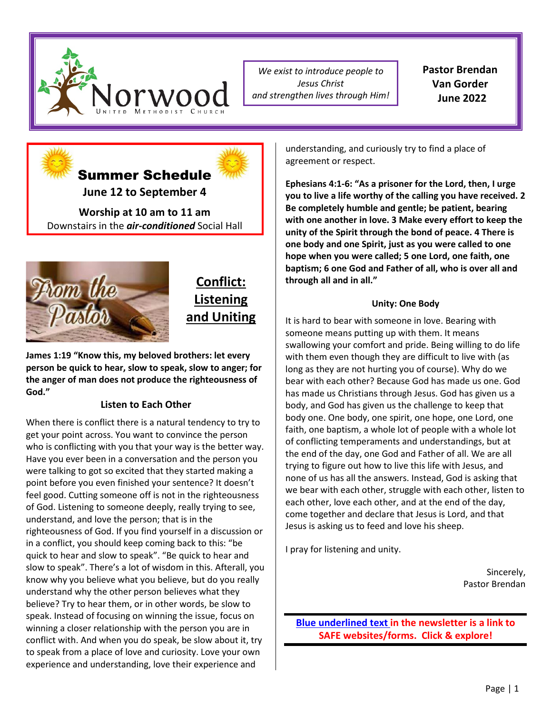

*We exist to introduce people to Jesus Christ and strengthen lives through Him!* **Pastor Brendan Van Gorder June 2022**





## **Conflict: Listening and Uniting**

**James 1:19 "Know this, my beloved brothers: let every person be quick to hear, slow to speak, slow to anger; for the anger of man does not produce the righteousness of God."** 

#### **Listen to Each Other**

When there is conflict there is a natural tendency to try to get your point across. You want to convince the person who is conflicting with you that your way is the better way. Have you ever been in a conversation and the person you were talking to got so excited that they started making a point before you even finished your sentence? It doesn't feel good. Cutting someone off is not in the righteousness of God. Listening to someone deeply, really trying to see, understand, and love the person; that is in the righteousness of God. If you find yourself in a discussion or in a conflict, you should keep coming back to this: "be quick to hear and slow to speak". "Be quick to hear and slow to speak". There's a lot of wisdom in this. Afterall, you know why you believe what you believe, but do you really understand why the other person believes what they believe? Try to hear them, or in other words, be slow to speak. Instead of focusing on winning the issue, focus on winning a closer relationship with the person you are in conflict with. And when you do speak, be slow about it, try to speak from a place of love and curiosity. Love your own experience and understanding, love their experience and

understanding, and curiously try to find a place of agreement or respect.

**Ephesians 4:1-6: "As a prisoner for the Lord, then, I urge you to live a life worthy of the calling you have received. 2 Be completely humble and gentle; be patient, bearing with one another in love. 3 Make every effort to keep the unity of the Spirit through the bond of peace. 4 There is one body and one Spirit, just as you were called to one hope when you were called; 5 one Lord, one faith, one baptism; 6 one God and Father of all, who is over all and through all and in all."**

#### **Unity: One Body**

It is hard to bear with someone in love. Bearing with someone means putting up with them. It means swallowing your comfort and pride. Being willing to do life with them even though they are difficult to live with (as long as they are not hurting you of course). Why do we bear with each other? Because God has made us one. God has made us Christians through Jesus. God has given us a body, and God has given us the challenge to keep that body one. One body, one spirit, one hope, one Lord, one faith, one baptism, a whole lot of people with a whole lot of conflicting temperaments and understandings, but at the end of the day, one God and Father of all. We are all trying to figure out how to live this life with Jesus, and none of us has all the answers. Instead, God is asking that we bear with each other, struggle with each other, listen to each other, love each other, and at the end of the day, come together and declare that Jesus is Lord, and that Jesus is asking us to feed and love his sheep.

I pray for listening and unity.

Sincerely, Pastor Brendan

**[Blue underlined text](https://www.norwoodumc.org/) in the newsletter is a link to SAFE websites/forms. Click & explore!**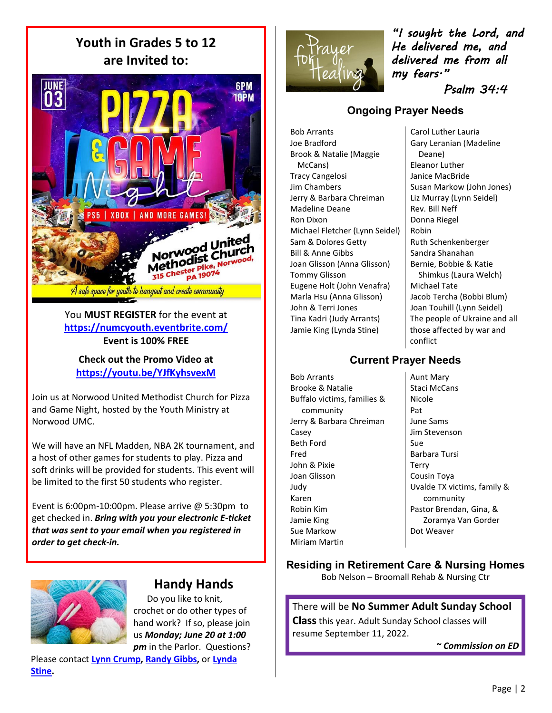**Youth in Grades 5 to 12 are Invited to:**



You **MUST REGISTER** for the event at **<https://numcyouth.eventbrite.com/> Event is 100% FREE**

**Check out the Promo Video at <https://youtu.be/YJfKyhsvexM>**

Join us at Norwood United Methodist Church for Pizza and Game Night, hosted by the Youth Ministry at Norwood UMC.

We will have an NFL Madden, NBA 2K tournament, and a host of other games for students to play. Pizza and soft drinks will be provided for students. This event will be limited to the first 50 students who register.

Event is 6:00pm-10:00pm. Please arrive @ 5:30pm to get checked in. *Bring with you your electronic E-ticket that was sent to your email when you registered in order to get check-in.*



## **Handy Hands**

 Do you like to knit, crochet or do other types of hand work? If so, please join us *Monday; June 20 at 1:00 pm* in the Parlor. Questions?

Please contact **[Lynn Crump,](mailto:stitchwitchtwo@yahoo.com) [Randy Gibbs,](mailto:rnrgibbs@comcast.net)** or **[Lynda](mailto:lmstine@rcn.com)  [Stine.](mailto:lmstine@rcn.com)**



*"I sought the Lord, and He delivered me, and delivered me from all my fears."* 

 *Psalm 34:4* 

### **Ongoing Prayer Needs**

Bob Arrants Joe Bradford Brook & Natalie (Maggie McCans) Tracy Cangelosi Jim Chambers Jerry & Barbara Chreiman Madeline Deane Ron Dixon Michael Fletcher (Lynn Seidel) Sam & Dolores Getty Bill & Anne Gibbs Joan Glisson (Anna Glisson) Tommy Glisson Eugene Holt (John Venafra) Marla Hsu (Anna Glisson) John & Terri Jones Tina Kadri (Judy Arrants) Jamie King (Lynda Stine)

Carol Luther Lauria Gary Leranian (Madeline Deane) Eleanor Luther Janice MacBride Susan Markow (John Jones) Liz Murray (Lynn Seidel) Rev. Bill Neff Donna Riegel Robin Ruth Schenkenberger Sandra Shanahan Bernie, Bobbie & Katie Shimkus (Laura Welch) Michael Tate Jacob Tercha (Bobbi Blum) Joan Touhill (Lynn Seidel) The people of Ukraine and all those affected by war and conflict

#### **Current Prayer Needs**

Bob Arrants Brooke & Natalie Buffalo victims, families & community Jerry & Barbara Chreiman Casey Beth Ford Fred John & Pixie Joan Glisson Judy Karen Robin Kim Jamie King Sue Markow Miriam Martin

Aunt Mary Staci McCans Nicole Pat June Sams Jim Stevenson Sue Barbara Tursi Terry Cousin Toya Uvalde TX victims, family & community Pastor Brendan, Gina, & Zoramya Van Gorder Dot Weaver

#### **Residing in Retirement Care & Nursing Homes**

Bob Nelson – Broomall Rehab & Nursing Ctr

#### There will be **No Summer Adult Sunday School**

**Class**this year. Adult Sunday School classes will resume September 11, 2022.

*~ Commission on ED*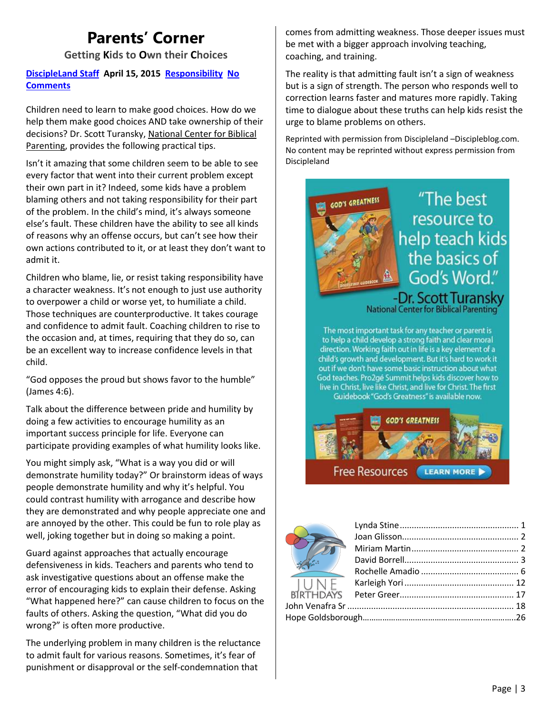# **Parents' Corner**

**Getting Kids to Own their Choices**

#### **[DiscipleLand](http://www.discipleblog.com/author/admin/) Staff April 15, 2015 [Responsibility](http://www.discipleblog.com/category/responsibility/) [No](http://www.discipleblog.com/2015/04/getting-kids-to-own-their-choices/#respond) [Comments](http://www.discipleblog.com/2015/04/getting-kids-to-own-their-choices/#respond)**

Children need to learn to make good choices. How do we help them make good choices AND take ownership of their decisions? Dr. Scott Turansky, [National](https://www.biblicalparenting.org/) Center for Biblical [Parenting,](https://www.biblicalparenting.org/) provides the following practical tips.

Isn't it amazing that some children seem to be able to see every factor that went into their current problem except their own part in it? Indeed, some kids have a problem blaming others and not taking responsibility for their part of the problem. In the child's mind, it's always someone else's fault. These children have the ability to see all kinds of reasons why an offense occurs, but can't see how their own actions contributed to it, or at least they don't want to admit it.

Children who blame, lie, or resist taking responsibility have a character weakness. It's not enough to just use authority to overpower a child or worse yet, to humiliate a child. Those techniques are counterproductive. It takes courage and confidence to admit fault. Coaching children to rise to the occasion and, at times, requiring that they do so, can be an excellent way to increase confidence levels in that child.

"God opposes the proud but shows favor to the humble" (James 4:6).

Talk about the difference between pride and humility by doing a few activities to encourage humility as an important success principle for life. Everyone can participate providing examples of what humility looks like.

You might simply ask, "What is a way you did or will demonstrate humility today?" Or brainstorm ideas of ways people demonstrate humility and why it's helpful. You could contrast humility with arrogance and describe how they are demonstrated and why people appreciate one and are annoyed by the other. This could be fun to role play as well, joking together but in doing so making a point.

Guard against approaches that actually encourage defensiveness in kids. Teachers and parents who tend to ask investigative questions about an offense make the error of encouraging kids to explain their defense. Asking "What happened here?" can cause children to focus on the faults of others. Asking the question, "What did you do wrong?" is often more productive.

The underlying problem in many children is the reluctance to admit fault for various reasons. Sometimes, it's fear of punishment or disapproval or the self-condemnation that

comes from admitting weakness. Those deeper issues must be met with a bigger approach involving teaching, coaching, and training.

The reality is that admitting fault isn't a sign of weakness but is a sign of strength. The person who responds well to correction learns faster and matures more rapidly. Taking time to dialogue about these truths can help kids resist the urge to blame problems on others.

Reprinted with permission from Discipleland –Discipleblog.com. No content may be reprinted without express permission from Discipleland



"The best resource to help teach kids the basics of God's Word."

-Dr. Scott Turanskv National Center for Biblical Parenting'

The most important task for any teacher or parent is to help a child develop a strong faith and clear moral direction. Working faith out in life is a key element of a child's growth and development. But it's hard to work it out if we don't have some basic instruction about what God teaches. Pro2gé Summit helps kids discover how to live in Christ, live like Christ, and live for Christ. The first Guidebook "God's Greatness" is available now.



**Free Resources LEARN MORE** 

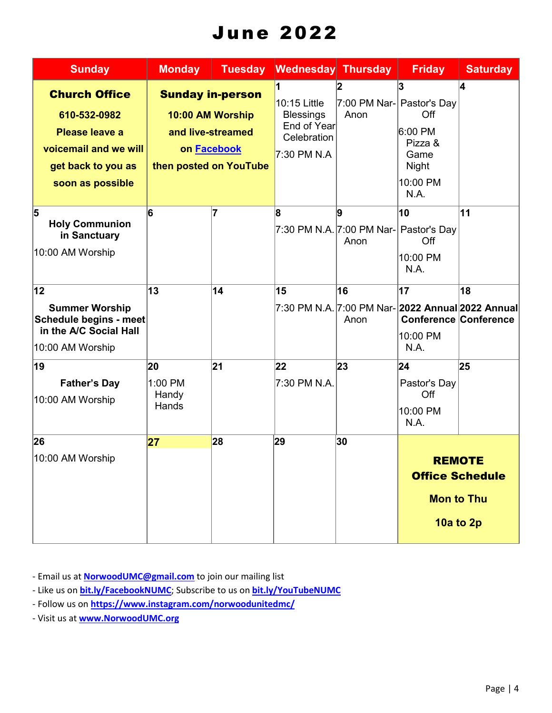# June 2022

| <b>Sunday</b>                                                                                                             | <b>Monday</b>                   | <b>Tuesday</b>                                                                                                   | Wednesday Thursday                                                            |                                                                 | <b>Friday</b>                                                                    | <b>Saturday</b>                    |
|---------------------------------------------------------------------------------------------------------------------------|---------------------------------|------------------------------------------------------------------------------------------------------------------|-------------------------------------------------------------------------------|-----------------------------------------------------------------|----------------------------------------------------------------------------------|------------------------------------|
| <b>Church Office</b><br>610-532-0982<br>Please leave a<br>voicemail and we will<br>get back to you as<br>soon as possible |                                 | <b>Sunday in-person</b><br>10:00 AM Worship<br>and live-streamed<br>on <b>Facebook</b><br>then posted on YouTube | 10:15 Little<br><b>Blessings</b><br>End of Year<br>Celebration<br>7:30 PM N.A | 7:00 PM Nar- Pastor's Day<br>Anon                               | 3<br>Off<br>6:00 PM<br>Pizza &<br>Game<br><b>Night</b><br>10:00 PM<br>N.A.       | 4                                  |
| 5<br><b>Holy Communion</b><br>in Sanctuary<br>10:00 AM Worship                                                            | 6                               | 7                                                                                                                | 8                                                                             | 9<br>7:30 PM N.A. 7:00 PM Nar- Pastor's Day<br>Anon             | 10<br>Off<br>10:00 PM<br>N.A.                                                    | 11                                 |
| $ 12\rangle$<br><b>Summer Worship</b><br>Schedule begins - meet<br>in the A/C Social Hall<br>10:00 AM Worship             | 13                              | 14                                                                                                               | 15                                                                            | 16<br>7:30 PM N.A. 7:00 PM Nar- 2022 Annual 2022 Annual<br>Anon | $\overline{17}$<br>10:00 PM<br>N.A.                                              | 18<br><b>Conference Conference</b> |
| 19<br><b>Father's Day</b><br>10:00 AM Worship                                                                             | 20<br>1:00 PM<br>Handy<br>Hands | 21                                                                                                               | 22<br>7:30 PM N.A.                                                            | 23                                                              | 24 <br>Pastor's Day<br>Off<br>10:00 PM<br>N.A.                                   | 25                                 |
| 26<br>10:00 AM Worship                                                                                                    | 27                              | 28                                                                                                               | 29                                                                            | 30                                                              | <b>REMOTE</b><br><b>Office Schedule</b><br><b>Mon to Thu</b><br><b>10a to 2p</b> |                                    |

- Email us at **[NorwoodUMC@gmail.com](mailto:NorwoodUMC@gmail.com)** to join our mailing list

- Like us on **[bit.ly/FacebookNUMC](https://bit.ly/FacebookNUMC)**; Subscribe to us on **[bit.ly/YouTubeNUMC](https://bit.ly/YoutubeNUMC)**
- Follow us on **<https://www.instagram.com/norwoodunitedmc/>**
- Visit us at **[www.NorwoodUMC.org](http://www.norwoodumc.org/)**